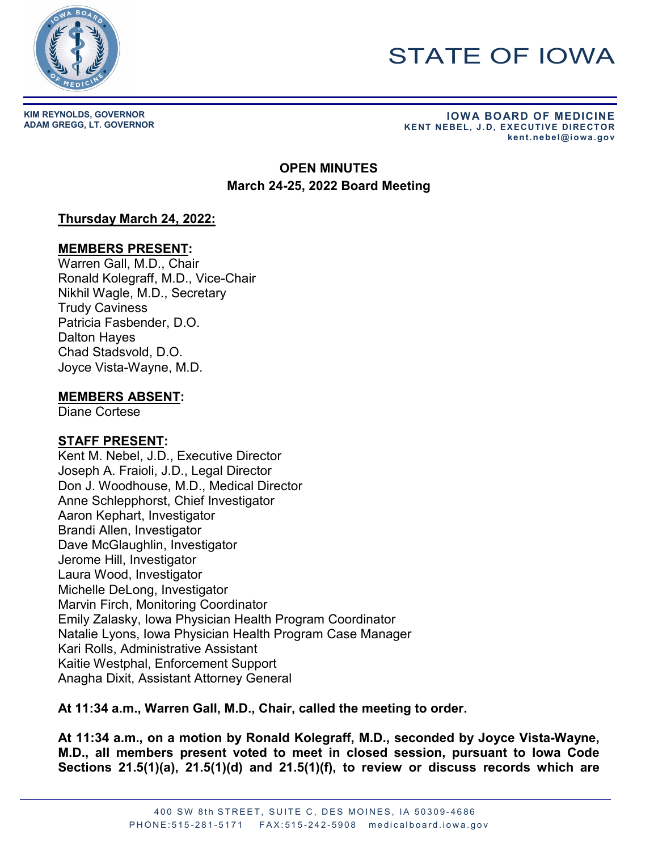

# STATE OF IOWA

**KIM REYNOLDS, GOVERNOR**

**ADAM GREGG, LT. GOVERNOR IOWA BOARD OF MEDICINE KENT NEBEL, J.D, EXECUTIVE DIRECTOR kent.nebel@iowa.gov** 

## **OPEN MINUTES March 24-25, 2022 Board Meeting**

## **Thursday March 24, 2022:**

#### **MEMBERS PRESENT:**

Warren Gall, M.D., Chair Ronald Kolegraff, M.D., Vice-Chair Nikhil Wagle, M.D., Secretary Trudy Caviness Patricia Fasbender, D.O. Dalton Hayes Chad Stadsvold, D.O. Joyce Vista-Wayne, M.D.

#### **MEMBERS ABSENT:**

Diane Cortese

#### **STAFF PRESENT:**

Kent M. Nebel, J.D., Executive Director Joseph A. Fraioli, J.D., Legal Director Don J. Woodhouse, M.D., Medical Director Anne Schlepphorst, Chief Investigator Aaron Kephart, Investigator Brandi Allen, Investigator Dave McGlaughlin, Investigator Jerome Hill, Investigator Laura Wood, Investigator Michelle DeLong, Investigator Marvin Firch, Monitoring Coordinator Emily Zalasky, Iowa Physician Health Program Coordinator Natalie Lyons, Iowa Physician Health Program Case Manager Kari Rolls, Administrative Assistant Kaitie Westphal, Enforcement Support Anagha Dixit, Assistant Attorney General

**At 11:34 a.m., Warren Gall, M.D., Chair, called the meeting to order.**

**At 11:34 a.m., on a motion by Ronald Kolegraff, M.D., seconded by Joyce Vista-Wayne, M.D., all members present voted to meet in closed session, pursuant to Iowa Code Sections 21.5(1)(a), 21.5(1)(d) and 21.5(1)(f), to review or discuss records which are**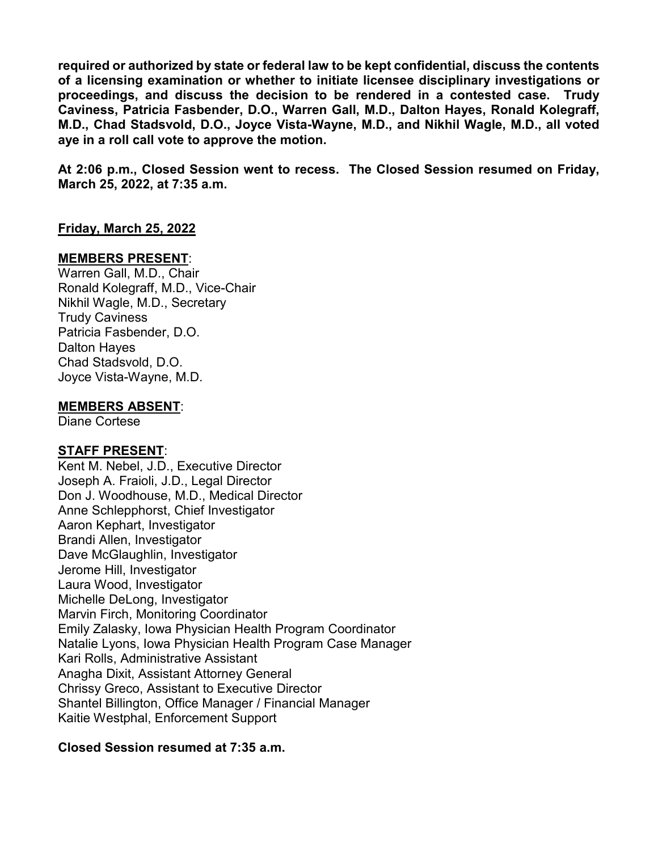**required or authorized by state or federal law to be kept confidential, discuss the contents of a licensing examination or whether to initiate licensee disciplinary investigations or proceedings, and discuss the decision to be rendered in a contested case. Trudy Caviness, Patricia Fasbender, D.O., Warren Gall, M.D., Dalton Hayes, Ronald Kolegraff, M.D., Chad Stadsvold, D.O., Joyce Vista-Wayne, M.D., and Nikhil Wagle, M.D., all voted aye in a roll call vote to approve the motion.**

**At 2:06 p.m., Closed Session went to recess. The Closed Session resumed on Friday, March 25, 2022, at 7:35 a.m.**

#### **Friday, March 25, 2022**

#### **MEMBERS PRESENT**:

Warren Gall, M.D., Chair Ronald Kolegraff, M.D., Vice-Chair Nikhil Wagle, M.D., Secretary Trudy Caviness Patricia Fasbender, D.O. Dalton Hayes Chad Stadsvold, D.O. Joyce Vista-Wayne, M.D.

**MEMBERS ABSENT**:

Diane Cortese

#### **STAFF PRESENT**:

Kent M. Nebel, J.D., Executive Director Joseph A. Fraioli, J.D., Legal Director Don J. Woodhouse, M.D., Medical Director Anne Schlepphorst, Chief Investigator Aaron Kephart, Investigator Brandi Allen, Investigator Dave McGlaughlin, Investigator Jerome Hill, Investigator Laura Wood, Investigator Michelle DeLong, Investigator Marvin Firch, Monitoring Coordinator Emily Zalasky, Iowa Physician Health Program Coordinator Natalie Lyons, Iowa Physician Health Program Case Manager Kari Rolls, Administrative Assistant Anagha Dixit, Assistant Attorney General Chrissy Greco, Assistant to Executive Director Shantel Billington, Office Manager / Financial Manager Kaitie Westphal, Enforcement Support

#### **Closed Session resumed at 7:35 a.m.**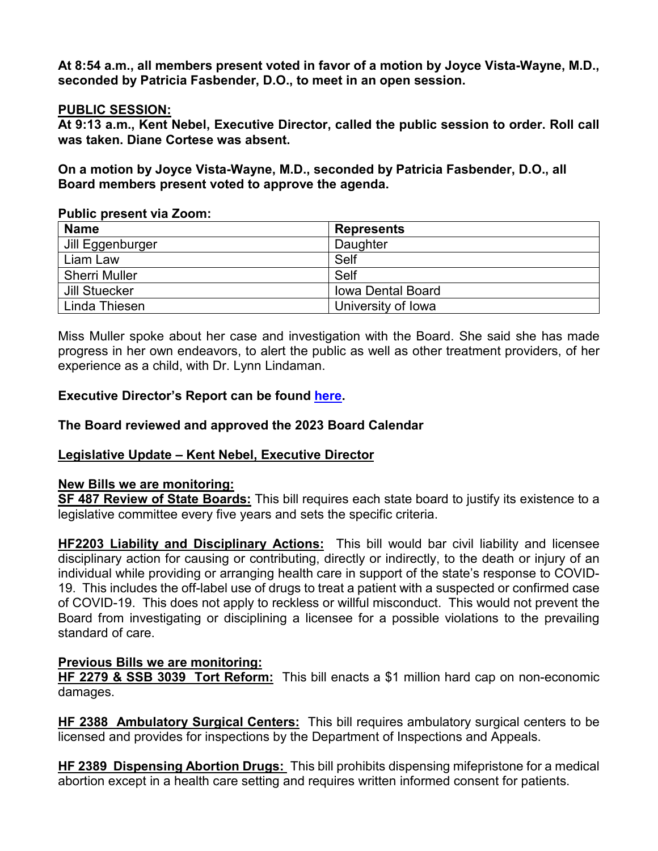**At 8:54 a.m., all members present voted in favor of a motion by Joyce Vista-Wayne, M.D., seconded by Patricia Fasbender, D.O., to meet in an open session.**

### **PUBLIC SESSION:**

**At 9:13 a.m., Kent Nebel, Executive Director, called the public session to order. Roll call was taken. Diane Cortese was absent.** 

**On a motion by Joyce Vista-Wayne, M.D., seconded by Patricia Fasbender, D.O., all Board members present voted to approve the agenda.** 

#### **Public present via Zoom:**

| <b>Name</b>          | <b>Represents</b>        |
|----------------------|--------------------------|
| Jill Eggenburger     | Daughter                 |
| Liam Law             | Self                     |
| <b>Sherri Muller</b> | Self                     |
| Jill Stuecker        | <b>Iowa Dental Board</b> |
| Linda Thiesen        | University of Iowa       |

Miss Muller spoke about her case and investigation with the Board. She said she has made progress in her own endeavors, to alert the public as well as other treatment providers, of her experience as a child, with Dr. Lynn Lindaman.

## **Executive Director's Report can be found [here.](https://medicalboard.iowa.gov/document/executive-directors-report-march-2022)**

## **The Board reviewed and approved the 2023 Board Calendar**

#### **Legislative Update – Kent Nebel, Executive Director**

#### **New Bills we are monitoring:**

**SF 487 Review of State Boards:** This bill requires each state board to justify its existence to a legislative committee every five years and sets the specific criteria.

**HF2203 Liability and Disciplinary Actions:** This bill would bar civil liability and licensee disciplinary action for causing or contributing, directly or indirectly, to the death or injury of an individual while providing or arranging health care in support of the state's response to COVID-19. This includes the off-label use of drugs to treat a patient with a suspected or confirmed case of COVID-19. This does not apply to reckless or willful misconduct. This would not prevent the Board from investigating or disciplining a licensee for a possible violations to the prevailing standard of care.

#### **Previous Bills we are monitoring:**

**HF 2279 & SSB 3039 Tort Reform:** This bill enacts a \$1 million hard cap on non-economic damages.

**HF 2388 Ambulatory Surgical Centers:** This bill requires ambulatory surgical centers to be licensed and provides for inspections by the Department of Inspections and Appeals.

**HF 2389 Dispensing Abortion Drugs:** This bill prohibits dispensing mifepristone for a medical abortion except in a health care setting and requires written informed consent for patients.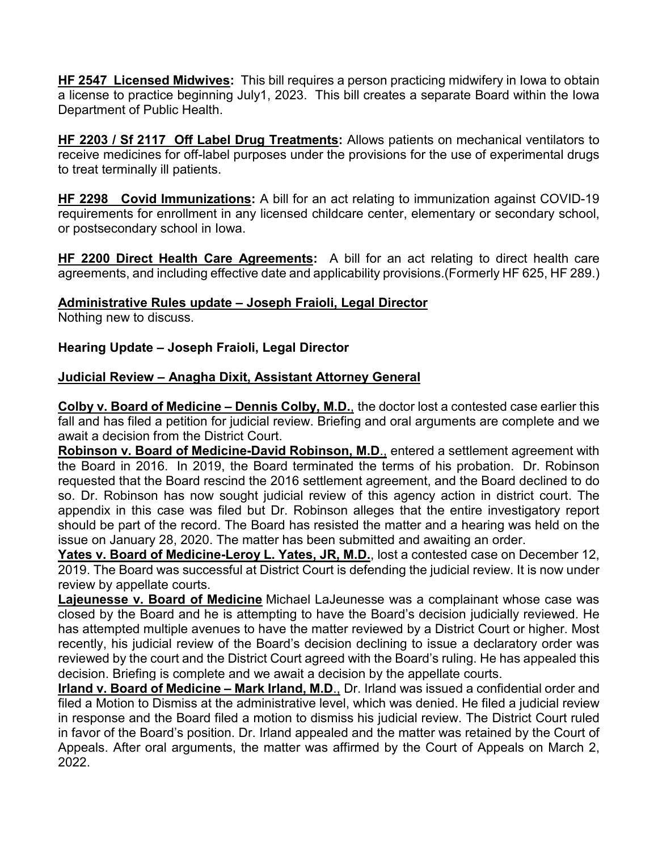**HF 2547 Licensed Midwives:** This bill requires a person practicing midwifery in Iowa to obtain a license to practice beginning July1, 2023. This bill creates a separate Board within the Iowa Department of Public Health.

**HF 2203 / Sf 2117 Off Label Drug Treatments:** Allows patients on mechanical ventilators to receive medicines for off-label purposes under the provisions for the use of experimental drugs to treat terminally ill patients.

**HF 2298 Covid Immunizations:** A bill for an act relating to immunization against COVID-19 requirements for enrollment in any licensed childcare center, elementary or secondary school, or postsecondary school in Iowa.

**HF 2200 Direct Health Care Agreements:** A bill for an act relating to direct health care agreements, and including effective date and applicability provisions.(Formerly HF 625, HF 289.)

## **Administrative Rules update – Joseph Fraioli, Legal Director**

Nothing new to discuss.

#### **Hearing Update – Joseph Fraioli, Legal Director**

## **Judicial Review – Anagha Dixit, Assistant Attorney General**

**Colby v. Board of Medicine – Dennis Colby, M.D.**, the doctor lost a contested case earlier this fall and has filed a petition for judicial review. Briefing and oral arguments are complete and we await a decision from the District Court.

**Robinson v. Board of Medicine-David Robinson, M.D**., entered a settlement agreement with the Board in 2016. In 2019, the Board terminated the terms of his probation. Dr. Robinson requested that the Board rescind the 2016 settlement agreement, and the Board declined to do so. Dr. Robinson has now sought judicial review of this agency action in district court. The appendix in this case was filed but Dr. Robinson alleges that the entire investigatory report should be part of the record. The Board has resisted the matter and a hearing was held on the issue on January 28, 2020. The matter has been submitted and awaiting an order.

Yates v. Board of Medicine-Leroy L. Yates, JR, M.D., lost a contested case on December 12, 2019. The Board was successful at District Court is defending the judicial review. It is now under review by appellate courts.

**Lajeunesse v. Board of Medicine** Michael LaJeunesse was a complainant whose case was closed by the Board and he is attempting to have the Board's decision judicially reviewed. He has attempted multiple avenues to have the matter reviewed by a District Court or higher. Most recently, his judicial review of the Board's decision declining to issue a declaratory order was reviewed by the court and the District Court agreed with the Board's ruling. He has appealed this decision. Briefing is complete and we await a decision by the appellate courts.

**Irland v. Board of Medicine – Mark Irland, M.D**., Dr. Irland was issued a confidential order and filed a Motion to Dismiss at the administrative level, which was denied. He filed a judicial review in response and the Board filed a motion to dismiss his judicial review. The District Court ruled in favor of the Board's position. Dr. Irland appealed and the matter was retained by the Court of Appeals. After oral arguments, the matter was affirmed by the Court of Appeals on March 2, 2022.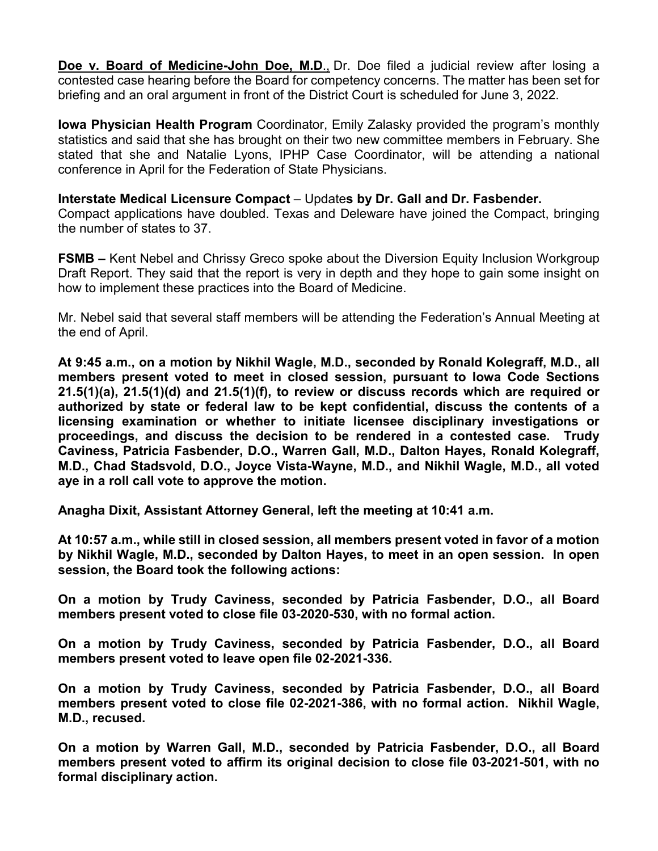**Doe v. Board of Medicine-John Doe, M.D**., Dr. Doe filed a judicial review after losing a contested case hearing before the Board for competency concerns. The matter has been set for briefing and an oral argument in front of the District Court is scheduled for June 3, 2022.

**Iowa Physician Health Program** Coordinator, Emily Zalasky provided the program's monthly statistics and said that she has brought on their two new committee members in February. She stated that she and Natalie Lyons, IPHP Case Coordinator, will be attending a national conference in April for the Federation of State Physicians.

**Interstate Medical Licensure Compact** – Update**s by Dr. Gall and Dr. Fasbender.**

Compact applications have doubled. Texas and Deleware have joined the Compact, bringing the number of states to 37.

**FSMB –** Kent Nebel and Chrissy Greco spoke about the Diversion Equity Inclusion Workgroup Draft Report. They said that the report is very in depth and they hope to gain some insight on how to implement these practices into the Board of Medicine.

Mr. Nebel said that several staff members will be attending the Federation's Annual Meeting at the end of April.

**At 9:45 a.m., on a motion by Nikhil Wagle, M.D., seconded by Ronald Kolegraff, M.D., all members present voted to meet in closed session, pursuant to Iowa Code Sections 21.5(1)(a), 21.5(1)(d) and 21.5(1)(f), to review or discuss records which are required or authorized by state or federal law to be kept confidential, discuss the contents of a licensing examination or whether to initiate licensee disciplinary investigations or proceedings, and discuss the decision to be rendered in a contested case. Trudy Caviness, Patricia Fasbender, D.O., Warren Gall, M.D., Dalton Hayes, Ronald Kolegraff, M.D., Chad Stadsvold, D.O., Joyce Vista-Wayne, M.D., and Nikhil Wagle, M.D., all voted aye in a roll call vote to approve the motion.**

**Anagha Dixit, Assistant Attorney General, left the meeting at 10:41 a.m.**

**At 10:57 a.m., while still in closed session, all members present voted in favor of a motion by Nikhil Wagle, M.D., seconded by Dalton Hayes, to meet in an open session. In open session, the Board took the following actions:**

**On a motion by Trudy Caviness, seconded by Patricia Fasbender, D.O., all Board members present voted to close file 03-2020-530, with no formal action.** 

**On a motion by Trudy Caviness, seconded by Patricia Fasbender, D.O., all Board members present voted to leave open file 02-2021-336.**

**On a motion by Trudy Caviness, seconded by Patricia Fasbender, D.O., all Board members present voted to close file 02-2021-386, with no formal action. Nikhil Wagle, M.D., recused.**

**On a motion by Warren Gall, M.D., seconded by Patricia Fasbender, D.O., all Board members present voted to affirm its original decision to close file 03-2021-501, with no formal disciplinary action.**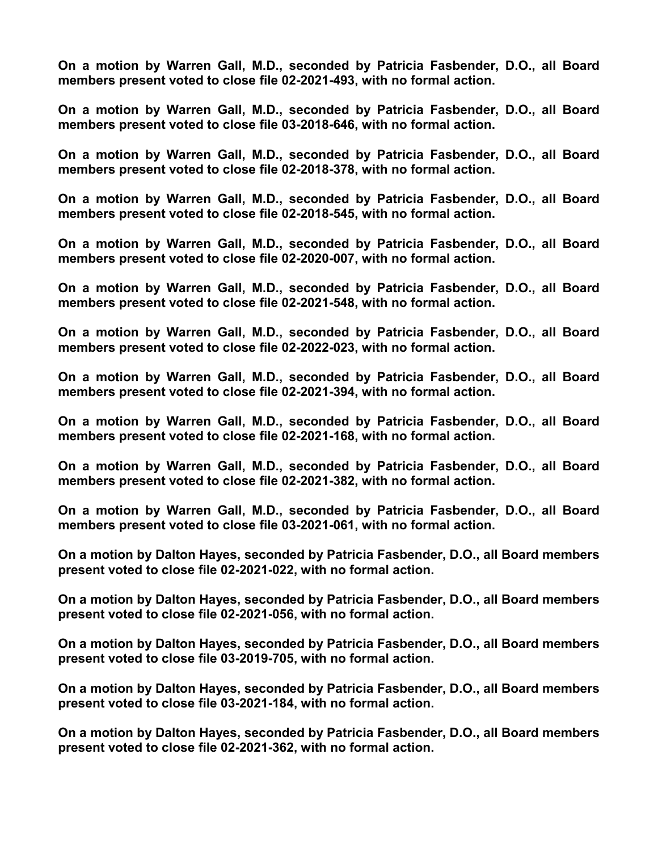**On a motion by Warren Gall, M.D., seconded by Patricia Fasbender, D.O., all Board members present voted to close file 02-2021-493, with no formal action.**

**On a motion by Warren Gall, M.D., seconded by Patricia Fasbender, D.O., all Board members present voted to close file 03-2018-646, with no formal action.**

**On a motion by Warren Gall, M.D., seconded by Patricia Fasbender, D.O., all Board members present voted to close file 02-2018-378, with no formal action.**

**On a motion by Warren Gall, M.D., seconded by Patricia Fasbender, D.O., all Board members present voted to close file 02-2018-545, with no formal action.**

**On a motion by Warren Gall, M.D., seconded by Patricia Fasbender, D.O., all Board members present voted to close file 02-2020-007, with no formal action.**

**On a motion by Warren Gall, M.D., seconded by Patricia Fasbender, D.O., all Board members present voted to close file 02-2021-548, with no formal action.**

**On a motion by Warren Gall, M.D., seconded by Patricia Fasbender, D.O., all Board members present voted to close file 02-2022-023, with no formal action.**

**On a motion by Warren Gall, M.D., seconded by Patricia Fasbender, D.O., all Board members present voted to close file 02-2021-394, with no formal action.**

**On a motion by Warren Gall, M.D., seconded by Patricia Fasbender, D.O., all Board members present voted to close file 02-2021-168, with no formal action.**

**On a motion by Warren Gall, M.D., seconded by Patricia Fasbender, D.O., all Board members present voted to close file 02-2021-382, with no formal action.**

**On a motion by Warren Gall, M.D., seconded by Patricia Fasbender, D.O., all Board members present voted to close file 03-2021-061, with no formal action.**

**On a motion by Dalton Hayes, seconded by Patricia Fasbender, D.O., all Board members present voted to close file 02-2021-022, with no formal action.**

**On a motion by Dalton Hayes, seconded by Patricia Fasbender, D.O., all Board members present voted to close file 02-2021-056, with no formal action.**

**On a motion by Dalton Hayes, seconded by Patricia Fasbender, D.O., all Board members present voted to close file 03-2019-705, with no formal action.**

**On a motion by Dalton Hayes, seconded by Patricia Fasbender, D.O., all Board members present voted to close file 03-2021-184, with no formal action.**

**On a motion by Dalton Hayes, seconded by Patricia Fasbender, D.O., all Board members present voted to close file 02-2021-362, with no formal action.**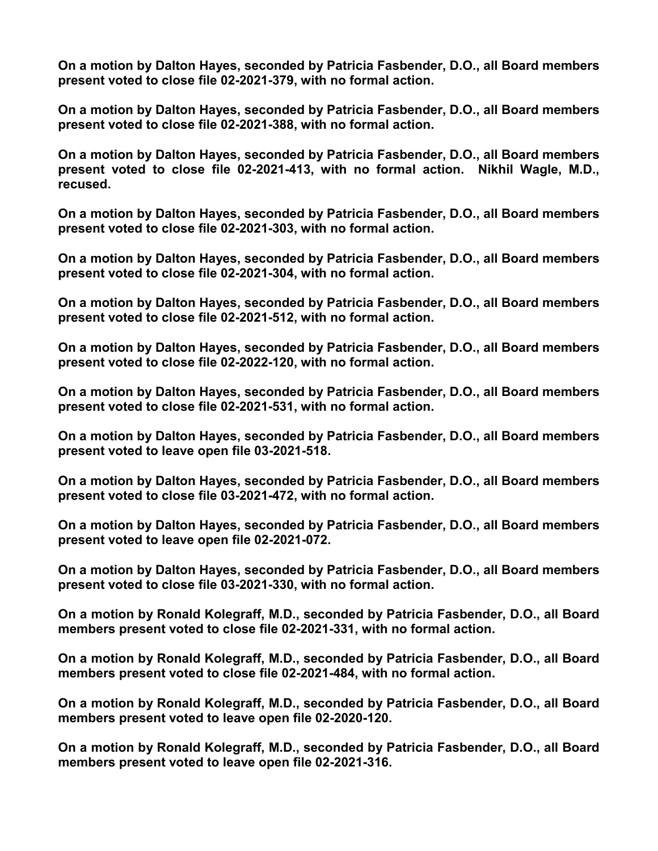**On a motion by Dalton Hayes, seconded by Patricia Fasbender, D.O., all Board members present voted to close file 02-2021-379, with no formal action.**

**On a motion by Dalton Hayes, seconded by Patricia Fasbender, D.O., all Board members present voted to close file 02-2021-388, with no formal action.**

**On a motion by Dalton Hayes, seconded by Patricia Fasbender, D.O., all Board members present voted to close file 02-2021-413, with no formal action. Nikhil Wagle, M.D., recused.**

**On a motion by Dalton Hayes, seconded by Patricia Fasbender, D.O., all Board members present voted to close file 02-2021-303, with no formal action.**

**On a motion by Dalton Hayes, seconded by Patricia Fasbender, D.O., all Board members present voted to close file 02-2021-304, with no formal action.**

**On a motion by Dalton Hayes, seconded by Patricia Fasbender, D.O., all Board members present voted to close file 02-2021-512, with no formal action.**

**On a motion by Dalton Hayes, seconded by Patricia Fasbender, D.O., all Board members present voted to close file 02-2022-120, with no formal action.**

**On a motion by Dalton Hayes, seconded by Patricia Fasbender, D.O., all Board members present voted to close file 02-2021-531, with no formal action.**

**On a motion by Dalton Hayes, seconded by Patricia Fasbender, D.O., all Board members present voted to leave open file 03-2021-518.**

**On a motion by Dalton Hayes, seconded by Patricia Fasbender, D.O., all Board members present voted to close file 03-2021-472, with no formal action.**

**On a motion by Dalton Hayes, seconded by Patricia Fasbender, D.O., all Board members present voted to leave open file 02-2021-072.**

**On a motion by Dalton Hayes, seconded by Patricia Fasbender, D.O., all Board members present voted to close file 03-2021-330, with no formal action.**

**On a motion by Ronald Kolegraff, M.D., seconded by Patricia Fasbender, D.O., all Board members present voted to close file 02-2021-331, with no formal action.**

**On a motion by Ronald Kolegraff, M.D., seconded by Patricia Fasbender, D.O., all Board members present voted to close file 02-2021-484, with no formal action.**

**On a motion by Ronald Kolegraff, M.D., seconded by Patricia Fasbender, D.O., all Board members present voted to leave open file 02-2020-120.**

**On a motion by Ronald Kolegraff, M.D., seconded by Patricia Fasbender, D.O., all Board members present voted to leave open file 02-2021-316.**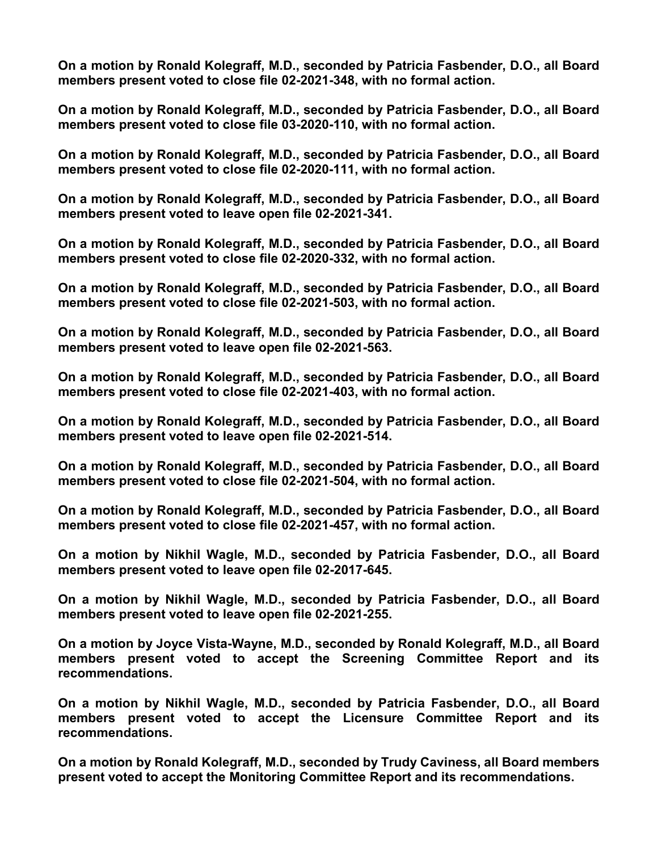**On a motion by Ronald Kolegraff, M.D., seconded by Patricia Fasbender, D.O., all Board members present voted to close file 02-2021-348, with no formal action.**

**On a motion by Ronald Kolegraff, M.D., seconded by Patricia Fasbender, D.O., all Board members present voted to close file 03-2020-110, with no formal action.**

**On a motion by Ronald Kolegraff, M.D., seconded by Patricia Fasbender, D.O., all Board members present voted to close file 02-2020-111, with no formal action.**

**On a motion by Ronald Kolegraff, M.D., seconded by Patricia Fasbender, D.O., all Board members present voted to leave open file 02-2021-341.**

**On a motion by Ronald Kolegraff, M.D., seconded by Patricia Fasbender, D.O., all Board members present voted to close file 02-2020-332, with no formal action.**

**On a motion by Ronald Kolegraff, M.D., seconded by Patricia Fasbender, D.O., all Board members present voted to close file 02-2021-503, with no formal action.**

**On a motion by Ronald Kolegraff, M.D., seconded by Patricia Fasbender, D.O., all Board members present voted to leave open file 02-2021-563.**

**On a motion by Ronald Kolegraff, M.D., seconded by Patricia Fasbender, D.O., all Board members present voted to close file 02-2021-403, with no formal action.**

**On a motion by Ronald Kolegraff, M.D., seconded by Patricia Fasbender, D.O., all Board members present voted to leave open file 02-2021-514.**

**On a motion by Ronald Kolegraff, M.D., seconded by Patricia Fasbender, D.O., all Board members present voted to close file 02-2021-504, with no formal action.**

**On a motion by Ronald Kolegraff, M.D., seconded by Patricia Fasbender, D.O., all Board members present voted to close file 02-2021-457, with no formal action.**

**On a motion by Nikhil Wagle, M.D., seconded by Patricia Fasbender, D.O., all Board members present voted to leave open file 02-2017-645.**

**On a motion by Nikhil Wagle, M.D., seconded by Patricia Fasbender, D.O., all Board members present voted to leave open file 02-2021-255.**

**On a motion by Joyce Vista-Wayne, M.D., seconded by Ronald Kolegraff, M.D., all Board members present voted to accept the Screening Committee Report and its recommendations.**

**On a motion by Nikhil Wagle, M.D., seconded by Patricia Fasbender, D.O., all Board members present voted to accept the Licensure Committee Report and its recommendations.**

**On a motion by Ronald Kolegraff, M.D., seconded by Trudy Caviness, all Board members present voted to accept the Monitoring Committee Report and its recommendations.**